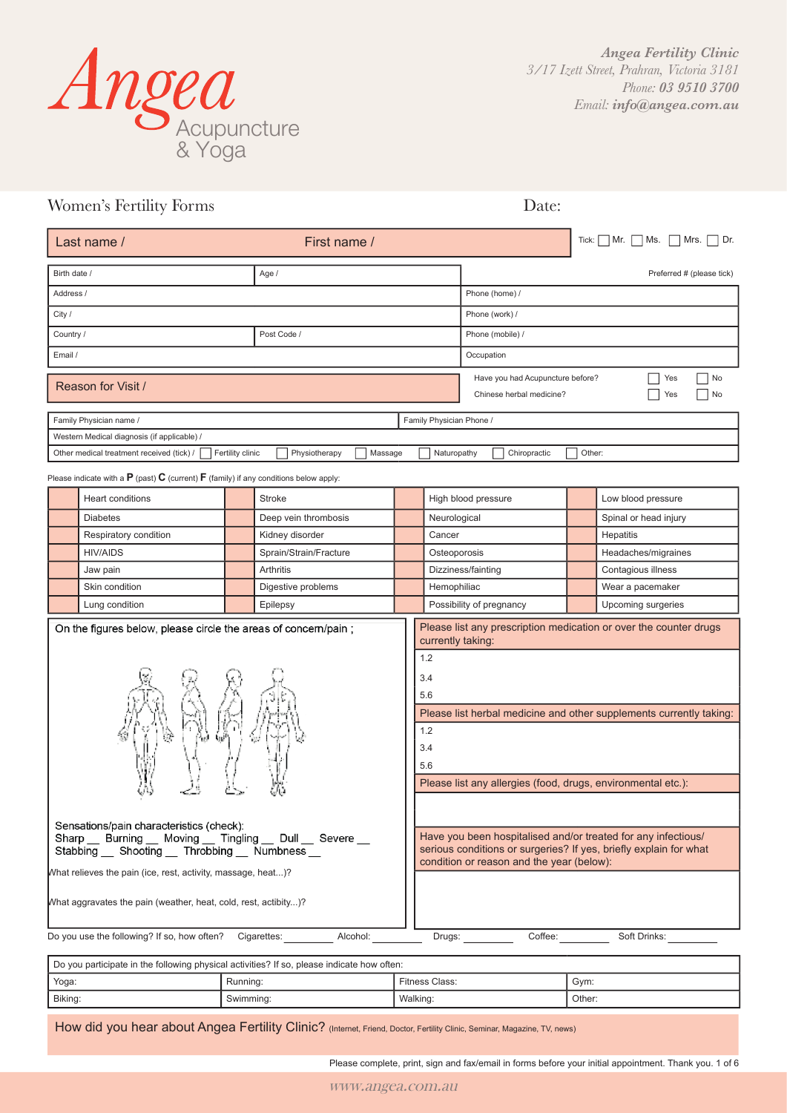

| Women's Fertility Forms                                                                                                                                                                                                                                                           |                  |                          |                                        |                                                                                                                                | Date:                                                        |                                                                                                                                                                                                                                                                                |                           |
|-----------------------------------------------------------------------------------------------------------------------------------------------------------------------------------------------------------------------------------------------------------------------------------|------------------|--------------------------|----------------------------------------|--------------------------------------------------------------------------------------------------------------------------------|--------------------------------------------------------------|--------------------------------------------------------------------------------------------------------------------------------------------------------------------------------------------------------------------------------------------------------------------------------|---------------------------|
| Last name /<br>First name /                                                                                                                                                                                                                                                       |                  |                          |                                        |                                                                                                                                | Tick:                                                        | Mrs.<br>Mr.<br>Ms.<br>Dr.                                                                                                                                                                                                                                                      |                           |
| Birth date /                                                                                                                                                                                                                                                                      |                  | Age /                    |                                        |                                                                                                                                |                                                              |                                                                                                                                                                                                                                                                                | Preferred # (please tick) |
| Address /                                                                                                                                                                                                                                                                         |                  |                          |                                        | Phone (home) /                                                                                                                 |                                                              |                                                                                                                                                                                                                                                                                |                           |
| City /                                                                                                                                                                                                                                                                            |                  |                          |                                        |                                                                                                                                | Phone (work) /                                               |                                                                                                                                                                                                                                                                                |                           |
| Country /                                                                                                                                                                                                                                                                         |                  | Post Code /              |                                        |                                                                                                                                | Phone (mobile) /                                             |                                                                                                                                                                                                                                                                                |                           |
| Email /                                                                                                                                                                                                                                                                           |                  |                          |                                        |                                                                                                                                | Occupation                                                   |                                                                                                                                                                                                                                                                                |                           |
| Reason for Visit /                                                                                                                                                                                                                                                                |                  |                          |                                        |                                                                                                                                | Have you had Acupuncture before?<br>Chinese herbal medicine? |                                                                                                                                                                                                                                                                                | No<br>Yes<br>Yes<br>No    |
| Family Physician name /                                                                                                                                                                                                                                                           |                  |                          |                                        | Family Physician Phone /                                                                                                       |                                                              |                                                                                                                                                                                                                                                                                |                           |
| Western Medical diagnosis (if applicable) /                                                                                                                                                                                                                                       |                  |                          |                                        |                                                                                                                                |                                                              |                                                                                                                                                                                                                                                                                |                           |
| Other medical treatment received (tick) /                                                                                                                                                                                                                                         | Fertility clinic | Physiotherapy<br>Massage |                                        | Naturopathy                                                                                                                    | Chiropractic                                                 | Other:                                                                                                                                                                                                                                                                         |                           |
| Please indicate with a $\bf{P}$ (past) $\bf{C}$ (current) $\bf{F}$ (family) if any conditions below apply:                                                                                                                                                                        |                  |                          |                                        |                                                                                                                                |                                                              |                                                                                                                                                                                                                                                                                |                           |
| Heart conditions                                                                                                                                                                                                                                                                  |                  | <b>Stroke</b>            |                                        |                                                                                                                                | High blood pressure                                          |                                                                                                                                                                                                                                                                                | Low blood pressure        |
| <b>Diabetes</b>                                                                                                                                                                                                                                                                   |                  | Deep vein thrombosis     |                                        | Neurological                                                                                                                   |                                                              |                                                                                                                                                                                                                                                                                | Spinal or head injury     |
| Respiratory condition                                                                                                                                                                                                                                                             |                  | Kidney disorder          | Cancer                                 |                                                                                                                                |                                                              |                                                                                                                                                                                                                                                                                | Hepatitis                 |
| <b>HIV/AIDS</b>                                                                                                                                                                                                                                                                   |                  | Sprain/Strain/Fracture   | Osteoporosis                           |                                                                                                                                |                                                              |                                                                                                                                                                                                                                                                                | Headaches/migraines       |
| Jaw pain                                                                                                                                                                                                                                                                          |                  | Arthritis                | Dizziness/fainting                     |                                                                                                                                |                                                              |                                                                                                                                                                                                                                                                                | Contagious illness        |
| Skin condition                                                                                                                                                                                                                                                                    |                  | Digestive problems       |                                        | Hemophiliac                                                                                                                    |                                                              |                                                                                                                                                                                                                                                                                | Wear a pacemaker          |
| Lung condition                                                                                                                                                                                                                                                                    |                  | Epilepsy                 |                                        |                                                                                                                                | Possibility of pregnancy                                     |                                                                                                                                                                                                                                                                                | Upcoming surgeries        |
| On the figures below, please circle the areas of concern/pain;<br>ママ<br>Sensations/pain characteristics (check):<br>Sharp Burning Moving Tingling Dull Severe<br>Stabbing __ Shooting __ Throbbing __ Numbness __<br>What relieves the pain (ice, rest, activity, massage, heat)? |                  |                          | 1.2<br>3.4<br>5.6<br>1.2<br>3.4<br>5.6 | currently taking:<br>Please list any allergies (food, drugs, environmental etc.):<br>condition or reason and the year (below): |                                                              | Please list any prescription medication or over the counter drugs<br>Please list herbal medicine and other supplements currently taking:<br>Have you been hospitalised and/or treated for any infectious/<br>serious conditions or surgeries? If yes, briefly explain for what |                           |
| What aggravates the pain (weather, heat, cold, rest, actibity)?                                                                                                                                                                                                                   |                  |                          |                                        |                                                                                                                                |                                                              |                                                                                                                                                                                                                                                                                |                           |
| Do you use the following? If so, how often?                                                                                                                                                                                                                                       |                  | Alcohol:<br>Cigarettes:  |                                        | Drugs:                                                                                                                         | Coffee:                                                      |                                                                                                                                                                                                                                                                                | Soft Drinks:              |

Do you participate in the following physical activities? If so, please indicate how often: Yoga: Running: Running: Fitness Class: Space Solar Sym: Biking: Swimming: National Communication of Swimming: National Marking: Swimming: Swimming: Swimming: National Marking: Swimming: Swimming: Swimming: Swimming: Swimming: National Marking: Swimming: Swimming: Swimming: Swim

How did you hear about Angea Fertility Clinic? (Internet, Friend, Doctor, Fertility Clinic, Seminar, Magazine, TV, news)

Please complete, print, sign and fax/email in forms before your initial appointment. Thank you. 1 of 6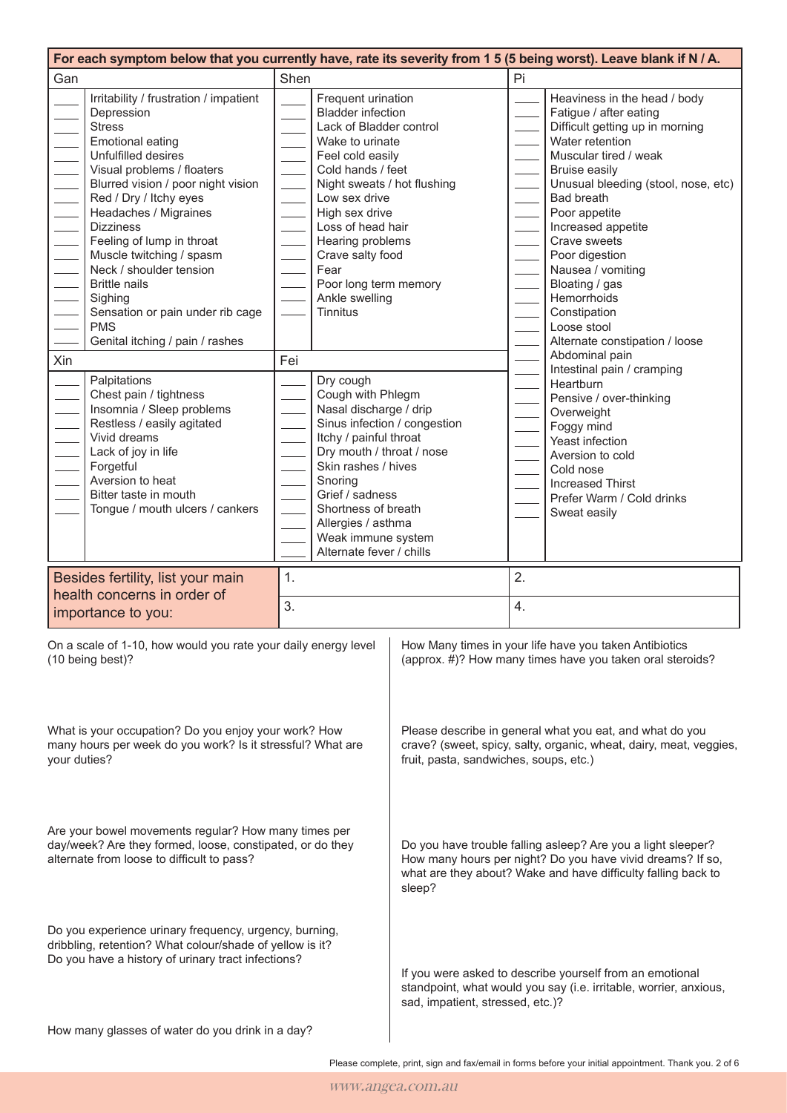| For each symptom below that you currently have, rate its severity from 1 5 (5 being worst). Leave blank if N / A.                                                        |                                                                                                                                                                                                                                                                                                                                                                                                                                                                                |                                                                                                                                                                                                       |                                                                                                                                                                                                                                                                                                                                     |  |    |                                                                                                                                                                                                                                                                                                                                                                                                                                             |
|--------------------------------------------------------------------------------------------------------------------------------------------------------------------------|--------------------------------------------------------------------------------------------------------------------------------------------------------------------------------------------------------------------------------------------------------------------------------------------------------------------------------------------------------------------------------------------------------------------------------------------------------------------------------|-------------------------------------------------------------------------------------------------------------------------------------------------------------------------------------------------------|-------------------------------------------------------------------------------------------------------------------------------------------------------------------------------------------------------------------------------------------------------------------------------------------------------------------------------------|--|----|---------------------------------------------------------------------------------------------------------------------------------------------------------------------------------------------------------------------------------------------------------------------------------------------------------------------------------------------------------------------------------------------------------------------------------------------|
| Gan                                                                                                                                                                      |                                                                                                                                                                                                                                                                                                                                                                                                                                                                                | Shen                                                                                                                                                                                                  |                                                                                                                                                                                                                                                                                                                                     |  | Pi |                                                                                                                                                                                                                                                                                                                                                                                                                                             |
|                                                                                                                                                                          | Irritability / frustration / impatient<br>Depression<br><b>Stress</b><br><b>Emotional eating</b><br>Unfulfilled desires<br>Visual problems / floaters<br>Blurred vision / poor night vision<br>Red / Dry / Itchy eyes<br>Headaches / Migraines<br><b>Dizziness</b><br>Feeling of lump in throat<br>Muscle twitching / spasm<br>Neck / shoulder tension<br><b>Brittle nails</b><br>Sighing<br>Sensation or pain under rib cage<br><b>PMS</b><br>Genital itching / pain / rashes |                                                                                                                                                                                                       | Frequent urination<br><b>Bladder infection</b><br>Lack of Bladder control<br>Wake to urinate<br>Feel cold easily<br>Cold hands / feet<br>Night sweats / hot flushing<br>Low sex drive<br>High sex drive<br>Loss of head hair<br>Hearing problems<br>Crave salty food<br>Fear<br>Poor long term memory<br>Ankle swelling<br>Tinnitus |  |    | Heaviness in the head / body<br>Fatigue / after eating<br>Difficult getting up in morning<br>Water retention<br>Muscular tired / weak<br><b>Bruise easily</b><br>Unusual bleeding (stool, nose, etc)<br><b>Bad breath</b><br>Poor appetite<br>Increased appetite<br>Crave sweets<br>Poor digestion<br>Nausea / vomiting<br>Bloating / gas<br>Hemorrhoids<br>Constipation<br>Loose stool<br>Alternate constipation / loose<br>Abdominal pain |
| Xin                                                                                                                                                                      | Palpitations<br>Chest pain / tightness<br>Insomnia / Sleep problems<br>Restless / easily agitated<br>Vivid dreams<br>Lack of joy in life<br>Forgetful<br>Aversion to heat<br>Bitter taste in mouth<br>Tongue / mouth ulcers / cankers                                                                                                                                                                                                                                          | Fei                                                                                                                                                                                                   | Dry cough<br>Cough with Phlegm<br>Nasal discharge / drip<br>Sinus infection / congestion<br>Itchy / painful throat<br>Dry mouth / throat / nose<br>Skin rashes / hives<br>Snoring<br>Grief / sadness<br>Shortness of breath<br>Allergies / asthma<br>Weak immune system<br>Alternate fever / chills                                 |  |    | Intestinal pain / cramping<br>Heartburn<br>Pensive / over-thinking<br>Overweight<br>Foggy mind<br>Yeast infection<br>Aversion to cold<br>Cold nose<br><b>Increased Thirst</b><br>Prefer Warm / Cold drinks<br>Sweat easily                                                                                                                                                                                                                  |
|                                                                                                                                                                          | Besides fertility, list your main                                                                                                                                                                                                                                                                                                                                                                                                                                              | 1.                                                                                                                                                                                                    |                                                                                                                                                                                                                                                                                                                                     |  | 2. |                                                                                                                                                                                                                                                                                                                                                                                                                                             |
|                                                                                                                                                                          | health concerns in order of<br>importance to you:                                                                                                                                                                                                                                                                                                                                                                                                                              | 3.                                                                                                                                                                                                    |                                                                                                                                                                                                                                                                                                                                     |  | 4. |                                                                                                                                                                                                                                                                                                                                                                                                                                             |
|                                                                                                                                                                          | On a scale of 1-10, how would you rate your daily energy level $\vert$<br>(10 being best)?                                                                                                                                                                                                                                                                                                                                                                                     |                                                                                                                                                                                                       |                                                                                                                                                                                                                                                                                                                                     |  |    | How Many times in your life have you taken Antibiotics<br>(approx. #)? How many times have you taken oral steroids?                                                                                                                                                                                                                                                                                                                         |
| What is your occupation? Do you enjoy your work? How<br>many hours per week do you work? Is it stressful? What are<br>your duties?                                       |                                                                                                                                                                                                                                                                                                                                                                                                                                                                                | Please describe in general what you eat, and what do you<br>crave? (sweet, spicy, salty, organic, wheat, dairy, meat, veggies,<br>fruit, pasta, sandwiches, soups, etc.)                              |                                                                                                                                                                                                                                                                                                                                     |  |    |                                                                                                                                                                                                                                                                                                                                                                                                                                             |
| Are your bowel movements regular? How many times per<br>day/week? Are they formed, loose, constipated, or do they<br>alternate from loose to difficult to pass?          |                                                                                                                                                                                                                                                                                                                                                                                                                                                                                | Do you have trouble falling asleep? Are you a light sleeper?<br>How many hours per night? Do you have vivid dreams? If so,<br>what are they about? Wake and have difficulty falling back to<br>sleep? |                                                                                                                                                                                                                                                                                                                                     |  |    |                                                                                                                                                                                                                                                                                                                                                                                                                                             |
| Do you experience urinary frequency, urgency, burning,<br>dribbling, retention? What colour/shade of yellow is it?<br>Do you have a history of urinary tract infections? |                                                                                                                                                                                                                                                                                                                                                                                                                                                                                | If you were asked to describe yourself from an emotional<br>standpoint, what would you say (i.e. irritable, worrier, anxious,<br>sad, impatient, stressed, etc.)?                                     |                                                                                                                                                                                                                                                                                                                                     |  |    |                                                                                                                                                                                                                                                                                                                                                                                                                                             |
|                                                                                                                                                                          | How many glasses of water do you drink in a day?                                                                                                                                                                                                                                                                                                                                                                                                                               |                                                                                                                                                                                                       |                                                                                                                                                                                                                                                                                                                                     |  |    |                                                                                                                                                                                                                                                                                                                                                                                                                                             |

Please complete, print, sign and fax/email in forms before your initial appointment. Thank you. 2 of 6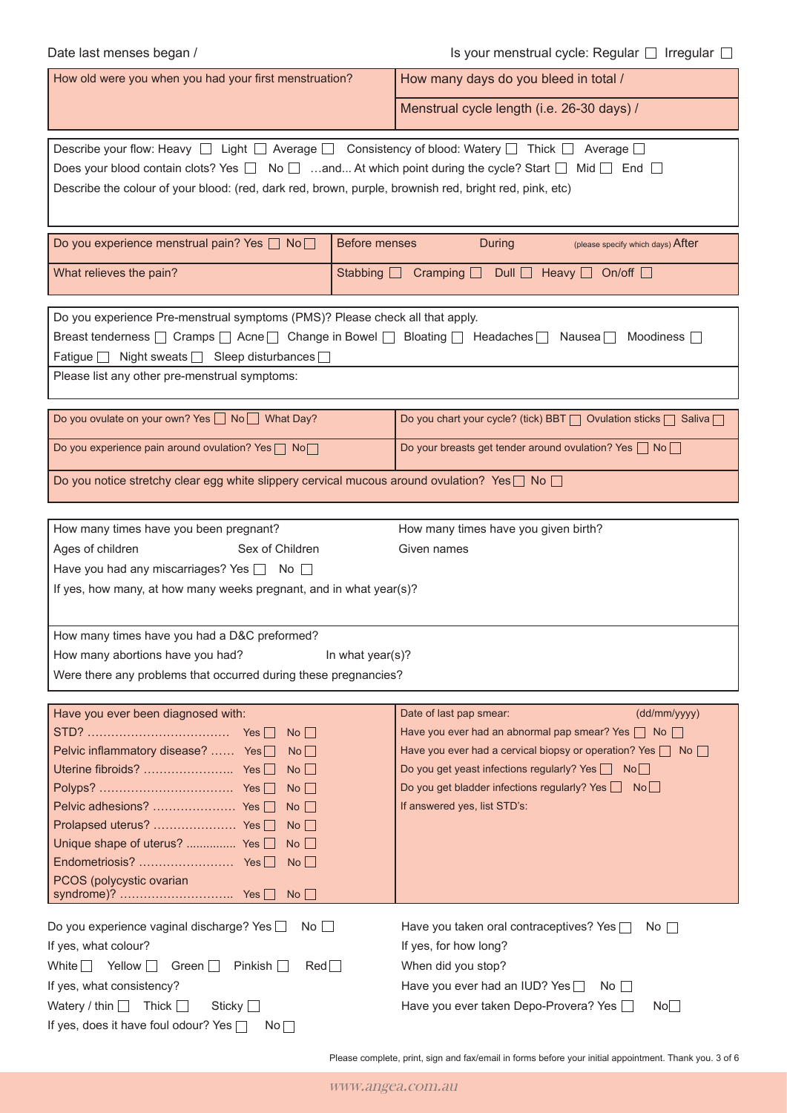Date last menses began /  $\Box$   $\Box$  Is your menstrual cycle: Regular  $\Box$  Irregular  $\Box$ 

| How old were you when you had your first menstruation?                                                                                                                                                                                                                                                                                                                      | How many days do you bleed in total /                                                                                                                                                                                                                                                                           |  |  |  |  |
|-----------------------------------------------------------------------------------------------------------------------------------------------------------------------------------------------------------------------------------------------------------------------------------------------------------------------------------------------------------------------------|-----------------------------------------------------------------------------------------------------------------------------------------------------------------------------------------------------------------------------------------------------------------------------------------------------------------|--|--|--|--|
|                                                                                                                                                                                                                                                                                                                                                                             | Menstrual cycle length (i.e. 26-30 days) /                                                                                                                                                                                                                                                                      |  |  |  |  |
| Describe your flow: Heavy $\Box$ Light $\Box$ Average $\Box$ Consistency of blood: Watery $\Box$ Thick $\Box$<br>Average $\square$<br>Does your blood contain clots? Yes $\Box$ No $\Box$ and At which point during the cycle? Start $\Box$ Mid $\Box$ End $\Box$<br>Describe the colour of your blood: (red, dark red, brown, purple, brownish red, bright red, pink, etc) |                                                                                                                                                                                                                                                                                                                 |  |  |  |  |
| Do you experience menstrual pain? Yes □ No□<br><b>Before menses</b>                                                                                                                                                                                                                                                                                                         | <b>During</b><br>(please specify which days) After                                                                                                                                                                                                                                                              |  |  |  |  |
| What relieves the pain?<br>Stabbing $\square$                                                                                                                                                                                                                                                                                                                               | Cramping $\Box$ Dull $\Box$ Heavy $\Box$ On/off $\Box$                                                                                                                                                                                                                                                          |  |  |  |  |
| Do you experience Pre-menstrual symptoms (PMS)? Please check all that apply.<br>Breast tenderness □ Cramps □ Acne □ Change in Bowel □ Bloating □ Headaches □ Nausea □<br>Fatigue   Night sweats   Sleep disturbances  <br>Please list any other pre-menstrual symptoms:                                                                                                     | Moodiness $\Box$                                                                                                                                                                                                                                                                                                |  |  |  |  |
| Do you ovulate on your own? Yes □ No □ What Day?                                                                                                                                                                                                                                                                                                                            | Do you chart your cycle? (tick) BBT   Ovulation sticks   Saliva                                                                                                                                                                                                                                                 |  |  |  |  |
| Do you experience pain around ovulation? Yes   No                                                                                                                                                                                                                                                                                                                           | Do your breasts get tender around ovulation? Yes □ No                                                                                                                                                                                                                                                           |  |  |  |  |
| Do you notice stretchy clear egg white slippery cervical mucous around ovulation? Yes $\Box$ No $\Box$                                                                                                                                                                                                                                                                      |                                                                                                                                                                                                                                                                                                                 |  |  |  |  |
| How many times have you given birth?<br>How many times have you been pregnant?<br>Ages of children<br>Sex of Children<br>Given names<br>Have you had any miscarriages? Yes a No<br>If yes, how many, at how many weeks pregnant, and in what year(s)?                                                                                                                       |                                                                                                                                                                                                                                                                                                                 |  |  |  |  |
| How many times have you had a D&C preformed?<br>How many abortions have you had?<br>In what year(s)?<br>Were there any problems that occurred during these pregnancies?                                                                                                                                                                                                     |                                                                                                                                                                                                                                                                                                                 |  |  |  |  |
| Have you ever been diagnosed with:<br>$No$    <br>Pelvic inflammatory disease?  Yes□<br>No<br>No<br>$No$    <br>$No \Box$<br>Prolapsed uterus?  Yes □<br>$No \Box$<br>Unique shape of uterus?  Yes $\Box$<br>No<br>No<br>PCOS (polycystic ovarian<br>No                                                                                                                     | Date of last pap smear:<br>(dd/mm/yyyy)<br>Have you ever had an abnormal pap smear? Yes   No<br>Have you ever had a cervical biopsy or operation? Yes   No<br>Do you get yeast infections regularly? Yes □ No□<br>Do you get bladder infections regularly? Yes $\Box$ No $\Box$<br>If answered yes, list STD's: |  |  |  |  |
| Do you experience vaginal discharge? Yes $\Box$<br>No<br>If yes, what colour?<br>White $\Box$ Yellow $\Box$<br>$\mathsf{Red}\square$<br>Green $\Box$<br>Pinkish $\Box$<br>If yes, what consistency?<br>Watery / thin $\Box$<br>Thick $\Box$<br>Sticky $\Box$<br>If yes, does it have foul odour? Yes $\Box$<br>No <sub>1</sub>                                              | Have you taken oral contraceptives? Yes $\Box$<br>$No \BoxIf yes, for how long?When did you stop?Have you ever had an IUD? YesNo    Have you ever taken Depo-Provera? Yes [No$                                                                                                                                  |  |  |  |  |

Please complete, print, sign and fax/email in forms before your initial appointment. Thank you. 3 of 6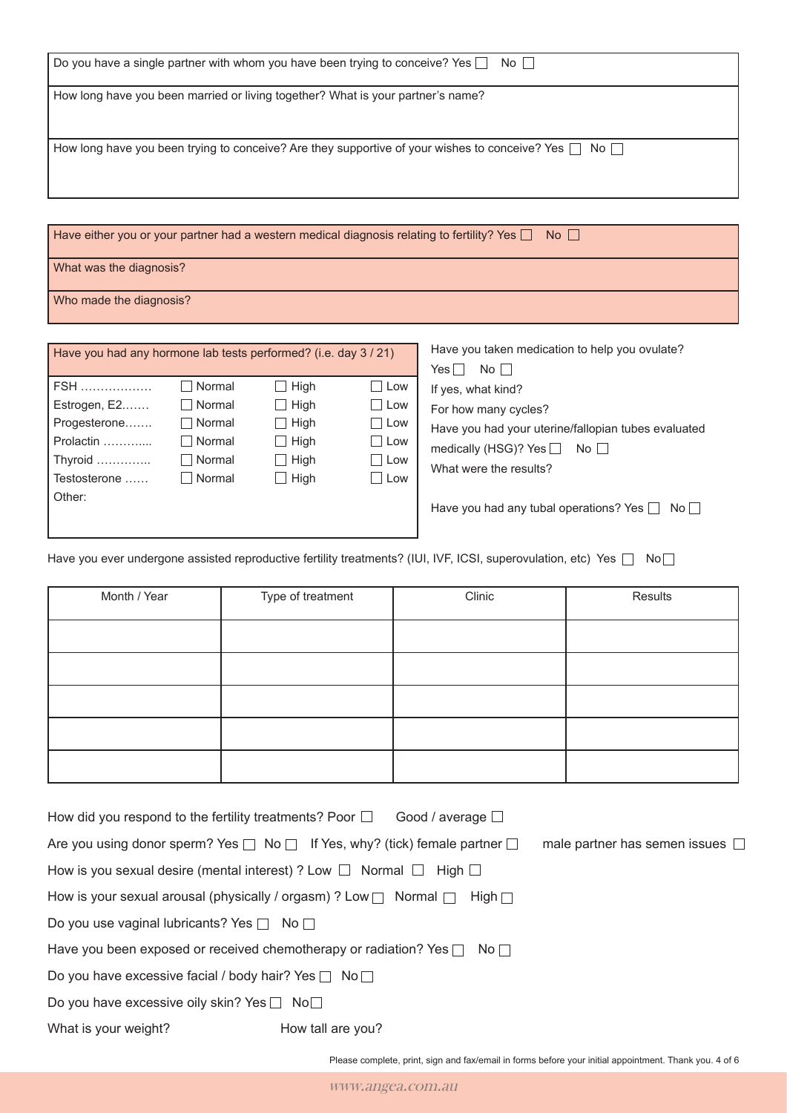| Do you have a single partner with whom you have been trying to conceive? Yes $\Box$<br>No II                    |
|-----------------------------------------------------------------------------------------------------------------|
| How long have you been married or living together? What is your partner's name?                                 |
| How long have you been trying to conceive? Are they supportive of your wishes to conceive? Yes $\Box$ No $\Box$ |

Have either you or your partner had a western medical diagnosis relating to fertility? Yes  $\Box$  No  $\Box$ 

What was the diagnosis?

Who made the diagnosis?

| Have you had any hormone lab tests performed? (i.e. day 3 / 21) |               |             |              |  |  |
|-----------------------------------------------------------------|---------------|-------------|--------------|--|--|
| FSH                                                             | Normal        | $\Box$ High | Low          |  |  |
| Estrogen, E2                                                    | $\Box$ Normal | $\Box$ High | $\sqcap$ Low |  |  |
| Progesterone                                                    | ∃ Normal      | $\Box$ High | Low          |  |  |
| Prolactin                                                       | l Normal      | $\Box$ High | $\Box$ Low   |  |  |
| Thyroid                                                         | Normal        | $\Box$ High | Low          |  |  |
| Testosterone                                                    | $\Box$ Normal | $\Box$ High | Low          |  |  |
| Other:                                                          |               |             |              |  |  |
|                                                                 |               |             |              |  |  |
|                                                                 |               |             |              |  |  |

| Have you taken medication to help you ovulate?        |
|-------------------------------------------------------|
| No II<br>Yes                                          |
| If yes, what kind?                                    |
| For how many cycles?                                  |
| Have you had your uterine/fallopian tubes evaluated   |
| medically (HSG)? Yes $\Box$ No $\Box$                 |
| What were the results?                                |
|                                                       |
| Have you had any tubal operations? Yes $\Box$<br>Noll |

Have you ever undergone assisted reproductive fertility treatments? (IUI, IVF, ICSI, superovulation, etc) Yes  $\Box$  No $\Box$ 

| Month / Year | Type of treatment | Clinic | Results |
|--------------|-------------------|--------|---------|
|              |                   |        |         |
|              |                   |        |         |
|              |                   |        |         |
|              |                   |        |         |
|              |                   |        |         |

| How did you respond to the fertility treatments? Poor $\Box$ Good / average $\Box$        |                   |             |                                         |
|-------------------------------------------------------------------------------------------|-------------------|-------------|-----------------------------------------|
| Are you using donor sperm? Yes $\Box$ No $\Box$ If Yes, why? (tick) female partner $\Box$ |                   |             | male partner has semen issues $\square$ |
| How is you sexual desire (mental interest) ? Low $\Box$ Normal $\Box$ High $\Box$         |                   |             |                                         |
| How is your sexual arousal (physically / orgasm) ? Low $\Box$ Normal $\Box$               |                   | High $\Box$ |                                         |
| Do you use vaginal lubricants? Yes $\Box$ No $\Box$                                       |                   |             |                                         |
| Have you been exposed or received chemotherapy or radiation? Yes $\Box$ No $\Box$         |                   |             |                                         |
| Do you have excessive facial / body hair? Yes $\Box$ No $\Box$                            |                   |             |                                         |
| Do you have excessive oily skin? Yes $\Box$ No $\Box$                                     |                   |             |                                         |
| What is your weight?                                                                      | How tall are you? |             |                                         |

Please complete, print, sign and fax/email in forms before your initial appointment. Thank you. 4 of 6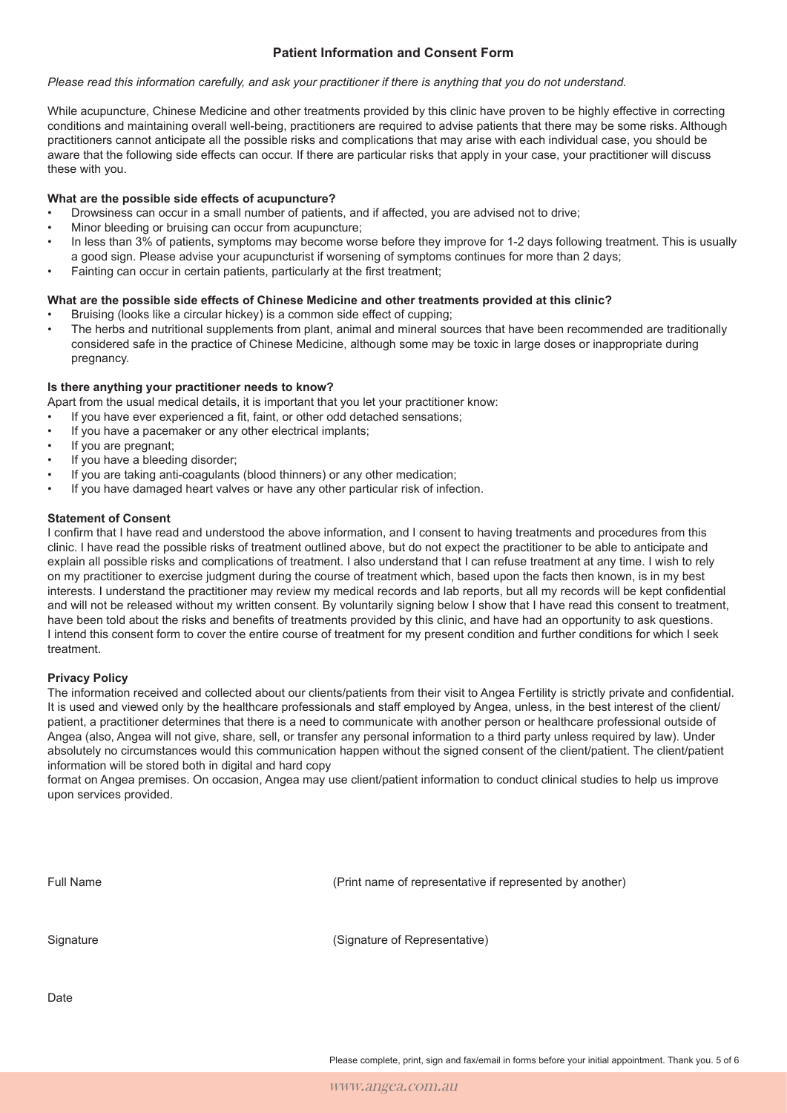## **Patient Information and Consent Form**

#### *Please read this information carefully, and ask your practitioner if there is anything that you do not understand.*

While acupuncture, Chinese Medicine and other treatments provided by this clinic have proven to be highly effective in correcting conditions and maintaining overall well-being, practitioners are required to advise patients that there may be some risks. Although practitioners cannot anticipate all the possible risks and complications that may arise with each individual case, you should be aware that the following side effects can occur. If there are particular risks that apply in your case, your practitioner will discuss these with you.

### **What are the possible side effects of acupuncture?**

- Drowsiness can occur in a small number of patients, and if affected, you are advised not to drive;
- Minor bleeding or bruising can occur from acupuncture;
- In less than 3% of patients, symptoms may become worse before they improve for 1-2 days following treatment. This is usually a good sign. Please advise your acupuncturist if worsening of symptoms continues for more than 2 days;
- Fainting can occur in certain patients, particularly at the first treatment:

#### **What are the possible side effects of Chinese Medicine and other treatments provided at this clinic?**

- Bruising (looks like a circular hickey) is a common side effect of cupping;
- The herbs and nutritional supplements from plant, animal and mineral sources that have been recommended are traditionally considered safe in the practice of Chinese Medicine, although some may be toxic in large doses or inappropriate during pregnancy.

#### **Is there anything your practitioner needs to know?**

Apart from the usual medical details, it is important that you let your practitioner know:

- If you have ever experienced a fit, faint, or other odd detached sensations:
- If you have a pacemaker or any other electrical implants;
- If you are pregnant:
- If you have a bleeding disorder:
- If you are taking anti-coagulants (blood thinners) or any other medication;
- If you have damaged heart valves or have any other particular risk of infection.

#### **Statement of Consent**

I confrm that I have read and understood the above information, and I consent to having treatments and procedures from this clinic. I have read the possible risks of treatment outlined above, but do not expect the practitioner to be able to anticipate and explain all possible risks and complications of treatment. I also understand that I can refuse treatment at any time. I wish to rely on my practitioner to exercise judgment during the course of treatment which, based upon the facts then known, is in my best interests. I understand the practitioner may review my medical records and lab reports, but all my records will be kept confdential and will not be released without my written consent. By voluntarily signing below I show that I have read this consent to treatment, have been told about the risks and benefts of treatments provided by this clinic, and have had an opportunity to ask questions. I intend this consent form to cover the entire course of treatment for my present condition and further conditions for which I seek treatment.

#### **Privacy Policy**

The information received and collected about our clients/patients from their visit to Angea Fertility is strictly private and confdential. It is used and viewed only by the healthcare professionals and staff employed by Angea, unless, in the best interest of the client/ patient, a practitioner determines that there is a need to communicate with another person or healthcare professional outside of Angea (also, Angea will not give, share, sell, or transfer any personal information to a third party unless required by law). Under absolutely no circumstances would this communication happen without the signed consent of the client/patient. The client/patient information will be stored both in digital and hard copy

format on Angea premises. On occasion, Angea may use client/patient information to conduct clinical studies to help us improve upon services provided.

| Full Name | (Print name of representative if represented by another) |
|-----------|----------------------------------------------------------|
| Signature | (Signature of Representative)                            |

**Date** 

Please complete, print, sign and fax/email in forms before your initial appointment. Thank you. 5 of 6